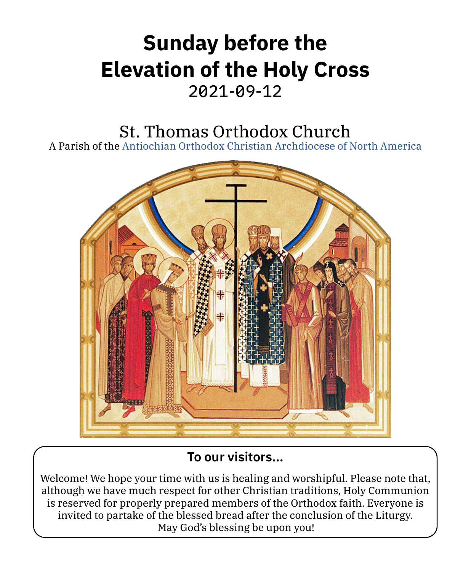## **Sunday before the Elevation of the Holy Cross** 2021-09-12

## St. Thomas Orthodox Church

A Parish of the [Antiochian Orthodox Christian Archdiocese of North America](https://www.antiochian.org)



## **To our visitors…**

Welcome! We hope your time with us is healing and worshipful. Please note that, although we have much respect for other Christian traditions, Holy Communion is reserved for properly prepared members of the Orthodox faith. Everyone is invited to partake of the blessed bread after the conclusion of the Liturgy. May God's blessing be upon you!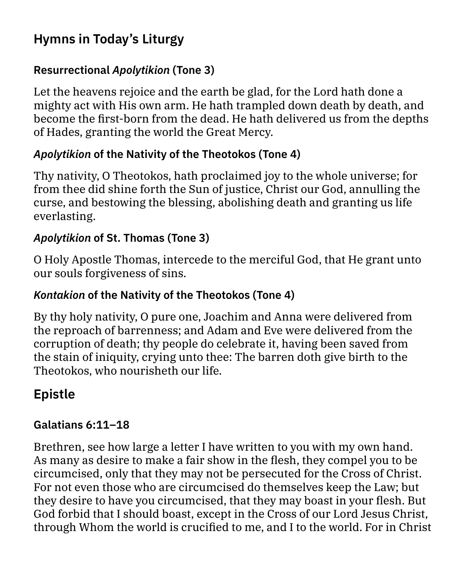## **Hymns in Today's Liturgy**

#### **Resurrectional** *Apolytikion* **(Tone 3)**

Let the heavens rejoice and the earth be glad, for the Lord hath done a mighty act with His own arm. He hath trampled down death by death, and become the first-born from the dead. He hath delivered us from the depths of Hades, granting the world the Great Mercy.

#### *Apolytikion* **of the Nativity of the Theotokos (Tone 4)**

Thy nativity, O Theotokos, hath proclaimed joy to the whole universe; for from thee did shine forth the Sun of justice, Christ our God, annulling the curse, and bestowing the blessing, abolishing death and granting us life everlasting.

#### *Apolytikion* **of St. Thomas (Tone 3)**

O Holy Apostle Thomas, intercede to the merciful God, that He grant unto our souls forgiveness of sins.

#### *Kontakion* **of the Nativity of the Theotokos (Tone 4)**

By thy holy nativity, O pure one, Joachim and Anna were delivered from the reproach of barrenness; and Adam and Eve were delivered from the corruption of death; thy people do celebrate it, having been saved from the stain of iniquity, crying unto thee: The barren doth give birth to the Theotokos, who nourisheth our life.

## **Epistle**

#### **Galatians 6:11–18**

Brethren, see how large a letter I have written to you with my own hand. As many as desire to make a fair show in the flesh, they compel you to be circumcised, only that they may not be persecuted for the Cross of Christ. For not even those who are circumcised do themselves keep the Law; but they desire to have you circumcised, that they may boast in your flesh. But God forbid that I should boast, except in the Cross of our Lord Jesus Christ, through Whom the world is crucified to me, and I to the world. For in Christ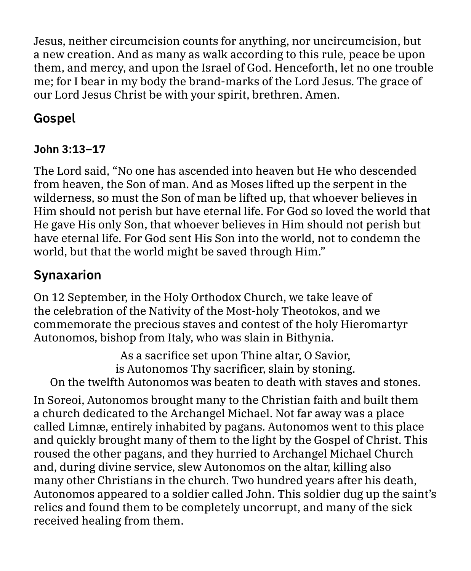Jesus, neither circumcision counts for anything, nor uncircumcision, but a new creation. And as many as walk according to this rule, peace be upon them, and mercy, and upon the Israel of God. Henceforth, let no one trouble me; for I bear in my body the brand-marks of the Lord Jesus. The grace of our Lord Jesus Christ be with your spirit, brethren. Amen.

## **Gospel**

## **John 3:13–17**

The Lord said, "No one has ascended into heaven but He who descended from heaven, the Son of man. And as Moses lifted up the serpent in the wilderness, so must the Son of man be lifted up, that whoever believes in Him should not perish but have eternal life. For God so loved the world that He gave His only Son, that whoever believes in Him should not perish but have eternal life. For God sent His Son into the world, not to condemn the world, but that the world might be saved through Him."

## **Synaxarion**

On 12 September, in the Holy Orthodox Church, we take leave of the celebration of the Nativity of the Most-holy Theotokos, and we commemorate the precious staves and contest of the holy Hieromartyr Autonomos, bishop from Italy, who was slain in Bithynia.

As a sacrifice set upon Thine altar, O Savior, is Autonomos Thy sacrificer, slain by stoning. On the twelfth Autonomos was beaten to death with staves and stones.

In Soreoi, Autonomos brought many to the Christian faith and built them a church dedicated to the Archangel Michael. Not far away was a place called Limnæ, entirely inhabited by pagans. Autonomos went to this place and quickly brought many of them to the light by the Gospel of Christ. This roused the other pagans, and they hurried to Archangel Michael Church and, during divine service, slew Autonomos on the altar, killing also many other Christians in the church. Two hundred years after his death, Autonomos appeared to a soldier called John. This soldier dug up the saint's relics and found them to be completely uncorrupt, and many of the sick received healing from them.